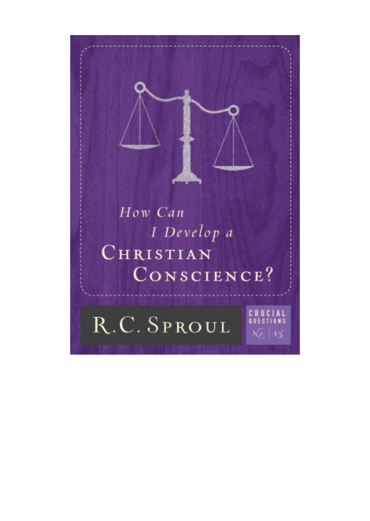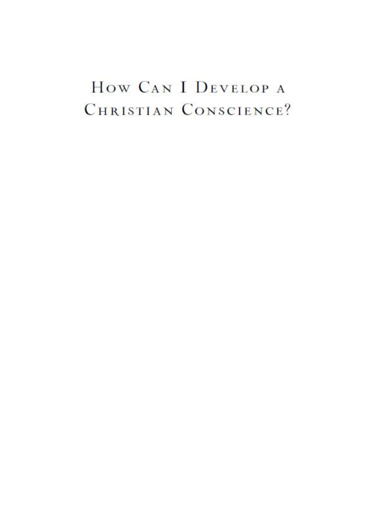#### HOW CAN I DEVELOP A CHRISTIAN CONSCIENCE?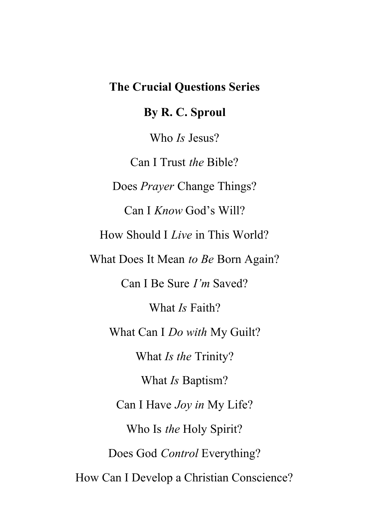#### **The Crucial Questions Series**

**By R. C. Sproul**

Who *Is* Jesus?

Can I Trust *the* Bible?

Does *Prayer* Change Things?

Can I *Know* God's Will?

How Should I *Live* in This World?

What Does It Mean *to Be* Born Again?

Can I Be Sure *I'm* Saved?

What *Is* Faith?

What Can I *Do with* My Guilt?

What *Is the* Trinity?

What *Is* Baptism?

Can I Have *Joy in* My Life?

Who Is *the* Holy Spirit?

Does God *Control* Everything?

How Can I Develop a Christian Conscience?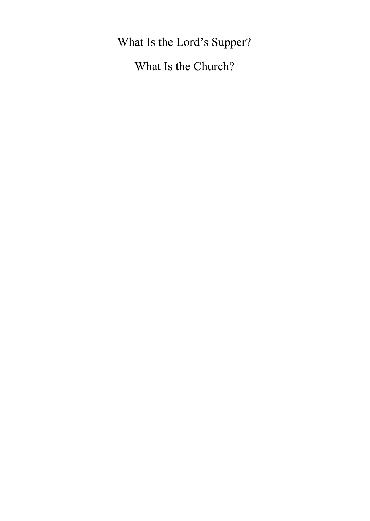What Is the Lord's Supper?

What Is the Church?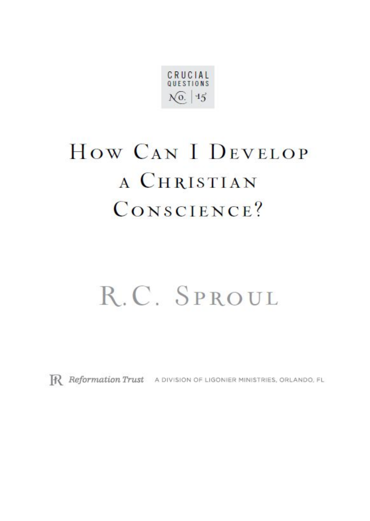CRUCIA QUESTIONS  $\sqrt{0}$  | 15

## HOW CAN I DEVELOP A CHRISTIAN CONSCIENCE?

# R.C. SPROUL

**R** Reformation Trust A DIVISION OF LIGONIER MINISTRIES, ORLANDO, FL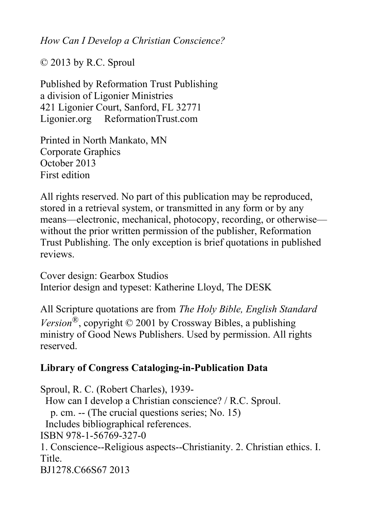*How Can I Develop a Christian Conscience?*

© 2013 by R.C. Sproul

Published by Reformation Trust Publishing a division of Ligonier Ministries 421 Ligonier Court, Sanford, FL 32771 Ligonier.org ReformationTrust.com

Printed in North Mankato, MN Corporate Graphics October 2013 First edition

All rights reserved. No part of this publication may be reproduced, stored in a retrieval system, or transmitted in any form or by any means—electronic, mechanical, photocopy, recording, or otherwise without the prior written permission of the publisher, Reformation Trust Publishing. The only exception is brief quotations in published reviews.

Cover design: Gearbox Studios Interior design and typeset: Katherine Lloyd, The DESK

All Scripture quotations are from *The Holy Bible, English Standard Version*®, copyright © 2001 by Crossway Bibles, a publishing ministry of Good News Publishers. Used by permission. All rights reserved.

#### **Library of Congress Cataloging-in-Publication Data**

Sproul, R. C. (Robert Charles), 1939- How can I develop a Christian conscience? / R.C. Sproul. p. cm. -- (The crucial questions series; No. 15) Includes bibliographical references. ISBN 978-1-56769-327-0 1. Conscience--Religious aspects--Christianity. 2. Christian ethics. I. Title. BJ1278.C66S67 2013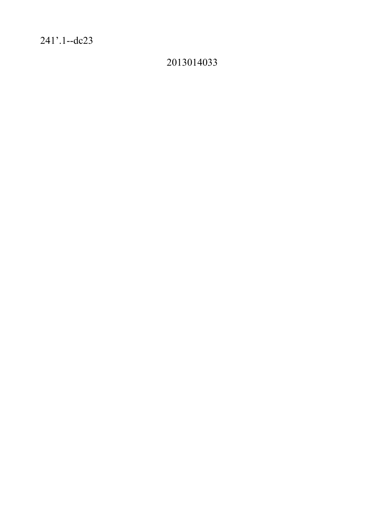241'.1--dc23

#### 2013014033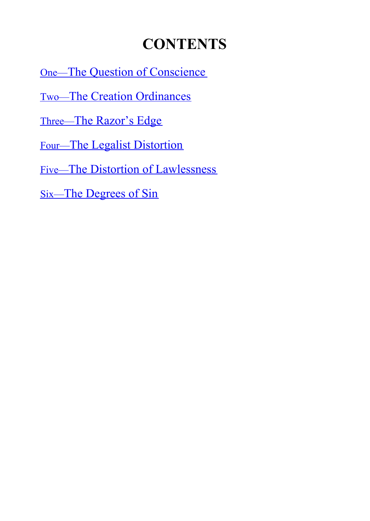#### **CONTENTS**

One—The Question of [Conscience](#page-7-0)

Two—The Creation [Ordinances](#page-13-0)

Three—The [Razor's](#page-19-0) Edge

Four—The Legalist [Distortion](#page-24-0)

Five—The Distortion of [Lawlessness](#page-30-0)

<span id="page-7-0"></span>Six—The [Degrees](#page-34-0) of Sin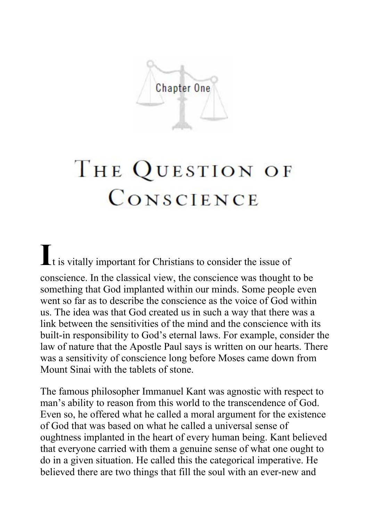

# THE QUESTION OF CONSCIENCE

**I**<sup>t</sup> is vitally important for Christians to consider the issue of conscience. In the classical view, the conscience was thought to be something that God implanted within our minds. Some people even went so far as to describe the conscience as the voice of God within us. The idea was that God created us in such a way that there was a link between the sensitivities of the mind and the conscience with its built-in responsibility to God's eternal laws. For example, consider the law of nature that the Apostle Paul says is written on our hearts. There was a sensitivity of conscience long before Moses came down from Mount Sinai with the tablets of stone.

The famous philosopher Immanuel Kant was agnostic with respect to man's ability to reason from this world to the transcendence of God. Even so, he offered what he called a moral argument for the existence of God that was based on what he called a universal sense of oughtness implanted in the heart of every human being. Kant believed that everyone carried with them a genuine sense of what one ought to do in a given situation. He called this the categorical imperative. He believed there are two things that fill the soul with an ever-new and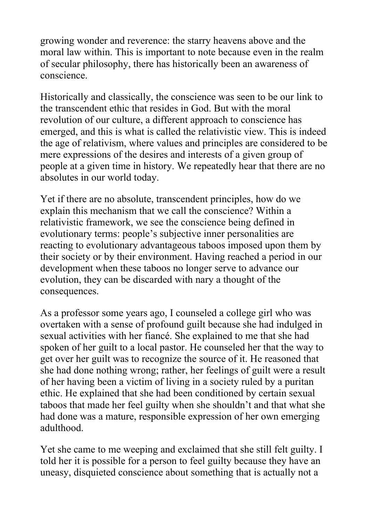growing wonder and reverence: the starry heavens above and the moral law within. This is important to note because even in the realm of secular philosophy, there has historically been an awareness of conscience.

Historically and classically, the conscience was seen to be our link to the transcendent ethic that resides in God. But with the moral revolution of our culture, a different approach to conscience has emerged, and this is what is called the relativistic view. This is indeed the age of relativism, where values and principles are considered to be mere expressions of the desires and interests of a given group of people at a given time in history. We repeatedly hear that there are no absolutes in our world today.

Yet if there are no absolute, transcendent principles, how do we explain this mechanism that we call the conscience? Within a relativistic framework, we see the conscience being defined in evolutionary terms: people's subjective inner personalities are reacting to evolutionary advantageous taboos imposed upon them by their society or by their environment. Having reached a period in our development when these taboos no longer serve to advance our evolution, they can be discarded with nary a thought of the consequences.

As a professor some years ago, I counseled a college girl who was overtaken with a sense of profound guilt because she had indulged in sexual activities with her fiancé. She explained to me that she had spoken of her guilt to a local pastor. He counseled her that the way to get over her guilt was to recognize the source of it. He reasoned that she had done nothing wrong; rather, her feelings of guilt were a result of her having been a victim of living in a society ruled by a puritan ethic. He explained that she had been conditioned by certain sexual taboos that made her feel guilty when she shouldn't and that what she had done was a mature, responsible expression of her own emerging adulthood.

Yet she came to me weeping and exclaimed that she still felt guilty. I told her it is possible for a person to feel guilty because they have an uneasy, disquieted conscience about something that is actually not a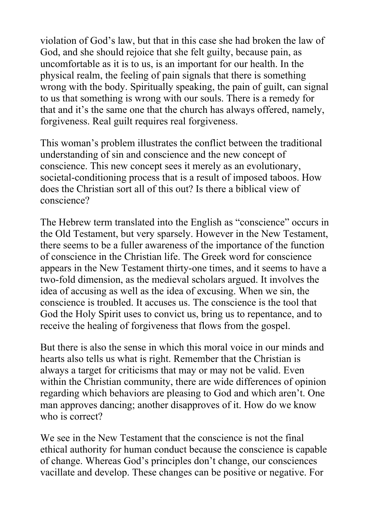violation of God's law, but that in this case she had broken the law of God, and she should rejoice that she felt guilty, because pain, as uncomfortable as it is to us, is an important for our health. In the physical realm, the feeling of pain signals that there is something wrong with the body. Spiritually speaking, the pain of guilt, can signal to us that something is wrong with our souls. There is a remedy for that and it's the same one that the church has always offered, namely, forgiveness. Real guilt requires real forgiveness.

This woman's problem illustrates the conflict between the traditional understanding of sin and conscience and the new concept of conscience. This new concept sees it merely as an evolutionary, societal-conditioning process that is a result of imposed taboos. How does the Christian sort all of this out? Is there a biblical view of conscience?

The Hebrew term translated into the English as "conscience" occurs in the Old Testament, but very sparsely. However in the New Testament, there seems to be a fuller awareness of the importance of the function of conscience in the Christian life. The Greek word for conscience appears in the New Testament thirty-one times, and it seems to have a two-fold dimension, as the medieval scholars argued. It involves the idea of accusing as well as the idea of excusing. When we sin, the conscience is troubled. It accuses us. The conscience is the tool that God the Holy Spirit uses to convict us, bring us to repentance, and to receive the healing of forgiveness that flows from the gospel.

But there is also the sense in which this moral voice in our minds and hearts also tells us what is right. Remember that the Christian is always a target for criticisms that may or may not be valid. Even within the Christian community, there are wide differences of opinion regarding which behaviors are pleasing to God and which aren't. One man approves dancing; another disapproves of it. How do we know who is correct?

We see in the New Testament that the conscience is not the final ethical authority for human conduct because the conscience is capable of change. Whereas God's principles don't change, our consciences vacillate and develop. These changes can be positive or negative. For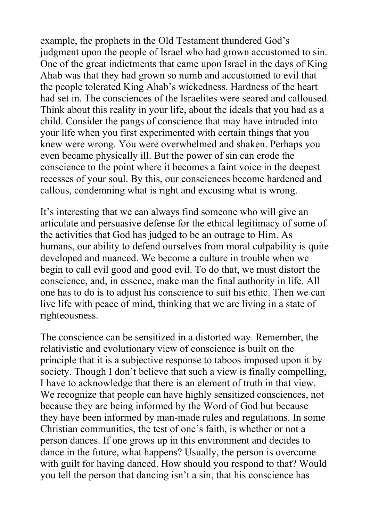example, the prophets in the Old Testament thundered God's judgment upon the people of Israel who had grown accustomed to sin. One of the great indictments that came upon Israel in the days of King Ahab was that they had grown so numb and accustomed to evil that the people tolerated King Ahab's wickedness. Hardness of the heart had set in. The consciences of the Israelites were seared and calloused. Think about this reality in your life, about the ideals that you had as a child. Consider the pangs of conscience that may have intruded into your life when you first experimented with certain things that you knew were wrong. You were overwhelmed and shaken. Perhaps you even became physically ill. But the power of sin can erode the conscience to the point where it becomes a faint voice in the deepest recesses of your soul. By this, our consciences become hardened and callous, condemning what is right and excusing what is wrong.

It's interesting that we can always find someone who will give an articulate and persuasive defense for the ethical legitimacy of some of the activities that God has judged to be an outrage to Him. As humans, our ability to defend ourselves from moral culpability is quite developed and nuanced. We become a culture in trouble when we begin to call evil good and good evil. To do that, we must distort the conscience, and, in essence, make man the final authority in life. All one has to do is to adjust his conscience to suit his ethic. Then we can live life with peace of mind, thinking that we are living in a state of righteousness.

The conscience can be sensitized in a distorted way. Remember, the relativistic and evolutionary view of conscience is built on the principle that it is a subjective response to taboos imposed upon it by society. Though I don't believe that such a view is finally compelling, I have to acknowledge that there is an element of truth in that view. We recognize that people can have highly sensitized consciences, not because they are being informed by the Word of God but because they have been informed by man-made rules and regulations. In some Christian communities, the test of one's faith, is whether or not a person dances. If one grows up in this environment and decides to dance in the future, what happens? Usually, the person is overcome with guilt for having danced. How should you respond to that? Would you tell the person that dancing isn't a sin, that his conscience has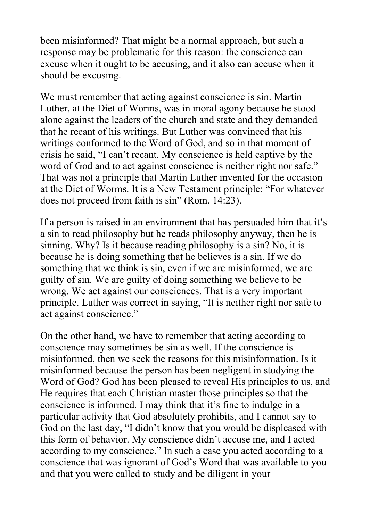been misinformed? That might be a normal approach, but such a response may be problematic for this reason: the conscience can excuse when it ought to be accusing, and it also can accuse when it should be excusing.

We must remember that acting against conscience is sin. Martin Luther, at the Diet of Worms, was in moral agony because he stood alone against the leaders of the church and state and they demanded that he recant of his writings. But Luther was convinced that his writings conformed to the Word of God, and so in that moment of crisis he said, "I can't recant. My conscience is held captive by the word of God and to act against conscience is neither right nor safe." That was not a principle that Martin Luther invented for the occasion at the Diet of Worms. It is a New Testament principle: "For whatever does not proceed from faith is sin" (Rom. 14:23).

If a person is raised in an environment that has persuaded him that it's a sin to read philosophy but he reads philosophy anyway, then he is sinning. Why? Is it because reading philosophy is a sin? No, it is because he is doing something that he believes is a sin. If we do something that we think is sin, even if we are misinformed, we are guilty of sin. We are guilty of doing something we believe to be wrong. We act against our consciences. That is a very important principle. Luther was correct in saying, "It is neither right nor safe to act against conscience."

On the other hand, we have to remember that acting according to conscience may sometimes be sin as well. If the conscience is misinformed, then we seek the reasons for this misinformation. Is it misinformed because the person has been negligent in studying the Word of God? God has been pleased to reveal His principles to us, and He requires that each Christian master those principles so that the conscience is informed. I may think that it's fine to indulge in a particular activity that God absolutely prohibits, and I cannot say to God on the last day, "I didn't know that you would be displeased with this form of behavior. My conscience didn't accuse me, and I acted according to my conscience." In such a case you acted according to a conscience that was ignorant of God's Word that was available to you and that you were called to study and be diligent in your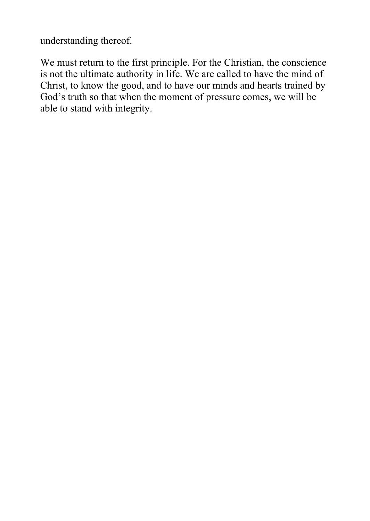understanding thereof.

<span id="page-13-0"></span>We must return to the first principle. For the Christian, the conscience is not the ultimate authority in life. We are called to have the mind of Christ, to know the good, and to have our minds and hearts trained by God's truth so that when the moment of pressure comes, we will be able to stand with integrity.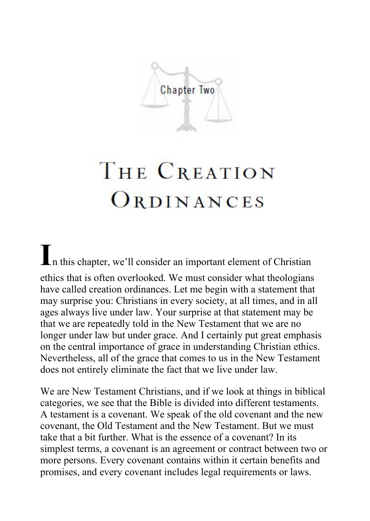

# THE CREATION ORDINANCES

**I**<sup>n</sup> this chapter, we'll consider an important element of Christian ethics that is often overlooked. We must consider what theologians have called creation ordinances. Let me begin with a statement that may surprise you: Christians in every society, at all times, and in all ages always live under law. Your surprise at that statement may be that we are repeatedly told in the New Testament that we are no longer under law but under grace. And I certainly put great emphasis on the central importance of grace in understanding Christian ethics. Nevertheless, all of the grace that comes to us in the New Testament does not entirely eliminate the fact that we live under law.

We are New Testament Christians, and if we look at things in biblical categories, we see that the Bible is divided into different testaments. A testament is a covenant. We speak of the old covenant and the new covenant, the Old Testament and the New Testament. But we must take that a bit further. What is the essence of a covenant? In its simplest terms, a covenant is an agreement or contract between two or more persons. Every covenant contains within it certain benefits and promises, and every covenant includes legal requirements or laws.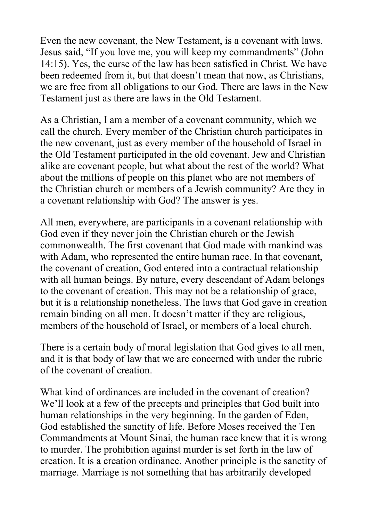Even the new covenant, the New Testament, is a covenant with laws. Jesus said, "If you love me, you will keep my commandments" (John 14:15). Yes, the curse of the law has been satisfied in Christ. We have been redeemed from it, but that doesn't mean that now, as Christians, we are free from all obligations to our God. There are laws in the New Testament just as there are laws in the Old Testament.

As a Christian, I am a member of a covenant community, which we call the church. Every member of the Christian church participates in the new covenant, just as every member of the household of Israel in the Old Testament participated in the old covenant. Jew and Christian alike are covenant people, but what about the rest of the world? What about the millions of people on this planet who are not members of the Christian church or members of a Jewish community? Are they in a covenant relationship with God? The answer is yes.

All men, everywhere, are participants in a covenant relationship with God even if they never join the Christian church or the Jewish commonwealth. The first covenant that God made with mankind was with Adam, who represented the entire human race. In that covenant, the covenant of creation, God entered into a contractual relationship with all human beings. By nature, every descendant of Adam belongs to the covenant of creation. This may not be a relationship of grace, but it is a relationship nonetheless. The laws that God gave in creation remain binding on all men. It doesn't matter if they are religious, members of the household of Israel, or members of a local church.

There is a certain body of moral legislation that God gives to all men, and it is that body of law that we are concerned with under the rubric of the covenant of creation.

What kind of ordinances are included in the covenant of creation? We'll look at a few of the precepts and principles that God built into human relationships in the very beginning. In the garden of Eden, God established the sanctity of life. Before Moses received the Ten Commandments at Mount Sinai, the human race knew that it is wrong to murder. The prohibition against murder is set forth in the law of creation. It is a creation ordinance. Another principle is the sanctity of marriage. Marriage is not something that has arbitrarily developed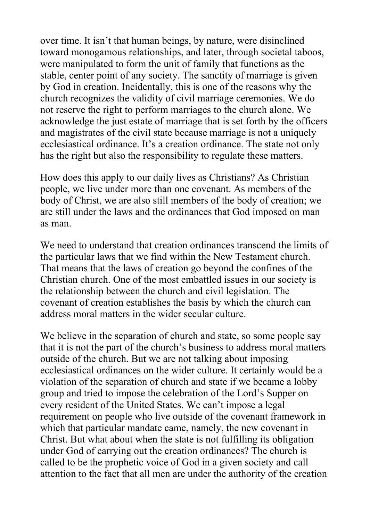over time. It isn't that human beings, by nature, were disinclined toward monogamous relationships, and later, through societal taboos, were manipulated to form the unit of family that functions as the stable, center point of any society. The sanctity of marriage is given by God in creation. Incidentally, this is one of the reasons why the church recognizes the validity of civil marriage ceremonies. We do not reserve the right to perform marriages to the church alone. We acknowledge the just estate of marriage that is set forth by the officers and magistrates of the civil state because marriage is not a uniquely ecclesiastical ordinance. It's a creation ordinance. The state not only has the right but also the responsibility to regulate these matters.

How does this apply to our daily lives as Christians? As Christian people, we live under more than one covenant. As members of the body of Christ, we are also still members of the body of creation; we are still under the laws and the ordinances that God imposed on man as man.

We need to understand that creation ordinances transcend the limits of the particular laws that we find within the New Testament church. That means that the laws of creation go beyond the confines of the Christian church. One of the most embattled issues in our society is the relationship between the church and civil legislation. The covenant of creation establishes the basis by which the church can address moral matters in the wider secular culture.

We believe in the separation of church and state, so some people say that it is not the part of the church's business to address moral matters outside of the church. But we are not talking about imposing ecclesiastical ordinances on the wider culture. It certainly would be a violation of the separation of church and state if we became a lobby group and tried to impose the celebration of the Lord's Supper on every resident of the United States. We can't impose a legal requirement on people who live outside of the covenant framework in which that particular mandate came, namely, the new covenant in Christ. But what about when the state is not fulfilling its obligation under God of carrying out the creation ordinances? The church is called to be the prophetic voice of God in a given society and call attention to the fact that all men are under the authority of the creation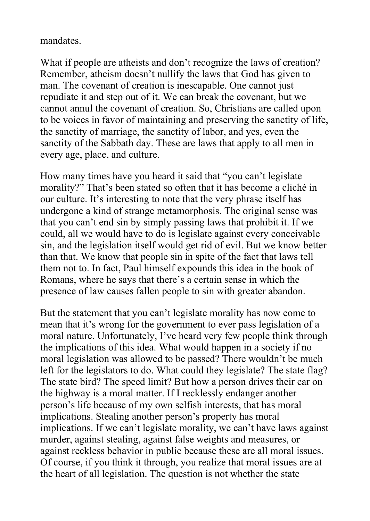#### mandates.

What if people are atheists and don't recognize the laws of creation? Remember, atheism doesn't nullify the laws that God has given to man. The covenant of creation is inescapable. One cannot just repudiate it and step out of it. We can break the covenant, but we cannot annul the covenant of creation. So, Christians are called upon to be voices in favor of maintaining and preserving the sanctity of life, the sanctity of marriage, the sanctity of labor, and yes, even the sanctity of the Sabbath day. These are laws that apply to all men in every age, place, and culture.

How many times have you heard it said that "you can't legislate morality?" That's been stated so often that it has become a cliché in our culture. It's interesting to note that the very phrase itself has undergone a kind of strange metamorphosis. The original sense was that you can't end sin by simply passing laws that prohibit it. If we could, all we would have to do is legislate against every conceivable sin, and the legislation itself would get rid of evil. But we know better than that. We know that people sin in spite of the fact that laws tell them not to. In fact, Paul himself expounds this idea in the book of Romans, where he says that there's a certain sense in which the presence of law causes fallen people to sin with greater abandon.

But the statement that you can't legislate morality has now come to mean that it's wrong for the government to ever pass legislation of a moral nature. Unfortunately, I've heard very few people think through the implications of this idea. What would happen in a society if no moral legislation was allowed to be passed? There wouldn't be much left for the legislators to do. What could they legislate? The state flag? The state bird? The speed limit? But how a person drives their car on the highway is a moral matter. If I recklessly endanger another person's life because of my own selfish interests, that has moral implications. Stealing another person's property has moral implications. If we can't legislate morality, we can't have laws against murder, against stealing, against false weights and measures, or against reckless behavior in public because these are all moral issues. Of course, if you think it through, you realize that moral issues are at the heart of all legislation. The question is not whether the state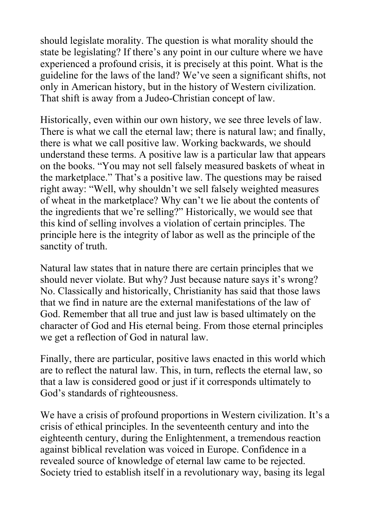should legislate morality. The question is what morality should the state be legislating? If there's any point in our culture where we have experienced a profound crisis, it is precisely at this point. What is the guideline for the laws of the land? We've seen a significant shifts, not only in American history, but in the history of Western civilization. That shift is away from a Judeo-Christian concept of law.

Historically, even within our own history, we see three levels of law. There is what we call the eternal law; there is natural law; and finally, there is what we call positive law. Working backwards, we should understand these terms. A positive law is a particular law that appears on the books. "You may not sell falsely measured baskets of wheat in the marketplace." That's a positive law. The questions may be raised right away: "Well, why shouldn't we sell falsely weighted measures of wheat in the marketplace? Why can't we lie about the contents of the ingredients that we're selling?" Historically, we would see that this kind of selling involves a violation of certain principles. The principle here is the integrity of labor as well as the principle of the sanctity of truth.

Natural law states that in nature there are certain principles that we should never violate. But why? Just because nature says it's wrong? No. Classically and historically, Christianity has said that those laws that we find in nature are the external manifestations of the law of God. Remember that all true and just law is based ultimately on the character of God and His eternal being. From those eternal principles we get a reflection of God in natural law.

Finally, there are particular, positive laws enacted in this world which are to reflect the natural law. This, in turn, reflects the eternal law, so that a law is considered good or just if it corresponds ultimately to God's standards of righteousness.

We have a crisis of profound proportions in Western civilization. It's a crisis of ethical principles. In the seventeenth century and into the eighteenth century, during the Enlightenment, a tremendous reaction against biblical revelation was voiced in Europe. Confidence in a revealed source of knowledge of eternal law came to be rejected. Society tried to establish itself in a revolutionary way, basing its legal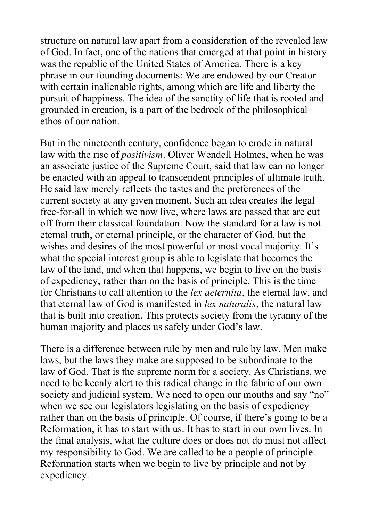structure on natural law apart from a consideration of the revealed law of God. In fact, one of the nations that emerged at that point in history was the republic of the United States of America. There is a key phrase in our founding documents: We are endowed by our Creator with certain inalienable rights, among which are life and liberty the pursuit of happiness. The idea of the sanctity of life that is rooted and grounded in creation, is a part of the bedrock of the philosophical ethos of our nation.

But in the nineteenth century, confidence began to erode in natural law with the rise of *positivism*. Oliver Wendell Holmes, when he was an associate justice of the Supreme Court, said that law can no longer be enacted with an appeal to transcendent principles of ultimate truth. He said law merely reflects the tastes and the preferences of the current society at any given moment. Such an idea creates the legal free-for-all in which we now live, where laws are passed that are cut off from their classical foundation. Now the standard for a law is not eternal truth, or eternal principle, or the character of God, but the wishes and desires of the most powerful or most vocal majority. It's what the special interest group is able to legislate that becomes the law of the land, and when that happens, we begin to live on the basis of expediency, rather than on the basis of principle. This is the time for Christians to call attention to the *lex aeternita*, the eternal law, and that eternal law of God is manifested in *lex naturalis*, the natural law that is built into creation. This protects society from the tyranny of the human majority and places us safely under God's law.

<span id="page-19-0"></span>There is a difference between rule by men and rule by law. Men make laws, but the laws they make are supposed to be subordinate to the law of God. That is the supreme norm for a society. As Christians, we need to be keenly alert to this radical change in the fabric of our own society and judicial system. We need to open our mouths and say "no" when we see our legislators legislating on the basis of expediency rather than on the basis of principle. Of course, if there's going to be a Reformation, it has to start with us. It has to start in our own lives. In the final analysis, what the culture does or does not do must not affect my responsibility to God. We are called to be a people of principle. Reformation starts when we begin to live by principle and not by expediency.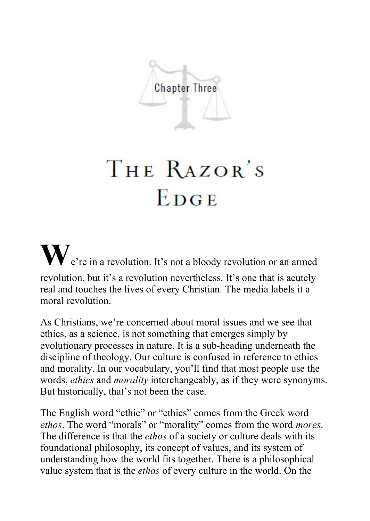

# THE RAZOR'S  $E_{\text{DGE}}$

**W**e're in <sup>a</sup> revolution. It's not <sup>a</sup> bloody revolution or an armed revolution, but it's a revolution nevertheless. It's one that is acutely real and touches the lives of every Christian. The media labels it a moral revolution.

As Christians, we're concerned about moral issues and we see that ethics, as a science, is not something that emerges simply by evolutionary processes in nature. It is a sub-heading underneath the discipline of theology. Our culture is confused in reference to ethics and morality. In our vocabulary, you'll find that most people use the words, *ethics* and *morality* interchangeably, as if they were synonyms. But historically, that's not been the case.

The English word "ethic" or "ethics" comes from the Greek word *ethos*. The word "morals" or "morality" comes from the word *mores*. The difference is that the *ethos* of a society or culture deals with its foundational philosophy, its concept of values, and its system of understanding how the world fits together. There is a philosophical value system that is the *ethos* of every culture in the world. On the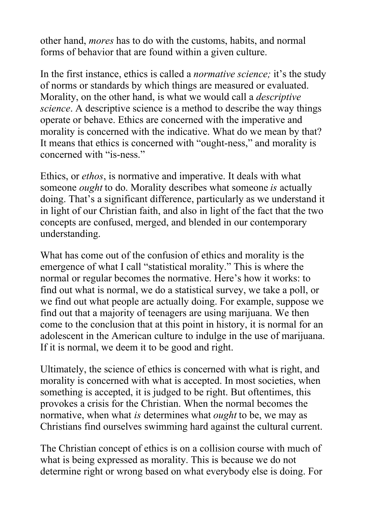other hand, *mores* has to do with the customs, habits, and normal forms of behavior that are found within a given culture.

In the first instance, ethics is called a *normative science;* it's the study of norms or standards by which things are measured or evaluated. Morality, on the other hand, is what we would call a *descriptive science*. A descriptive science is a method to describe the way things operate or behave. Ethics are concerned with the imperative and morality is concerned with the indicative. What do we mean by that? It means that ethics is concerned with "ought-ness," and morality is concerned with "is-ness."

Ethics, or *ethos*, is normative and imperative. It deals with what someone *ought* to do. Morality describes what someone *is* actually doing. That's a significant difference, particularly as we understand it in light of our Christian faith, and also in light of the fact that the two concepts are confused, merged, and blended in our contemporary understanding.

What has come out of the confusion of ethics and morality is the emergence of what I call "statistical morality." This is where the normal or regular becomes the normative. Here's how it works: to find out what is normal, we do a statistical survey, we take a poll, or we find out what people are actually doing. For example, suppose we find out that a majority of teenagers are using marijuana. We then come to the conclusion that at this point in history, it is normal for an adolescent in the American culture to indulge in the use of marijuana. If it is normal, we deem it to be good and right.

Ultimately, the science of ethics is concerned with what is right, and morality is concerned with what is accepted. In most societies, when something is accepted, it is judged to be right. But oftentimes, this provokes a crisis for the Christian. When the normal becomes the normative, when what *is* determines what *ought* to be, we may as Christians find ourselves swimming hard against the cultural current.

The Christian concept of ethics is on a collision course with much of what is being expressed as morality. This is because we do not determine right or wrong based on what everybody else is doing. For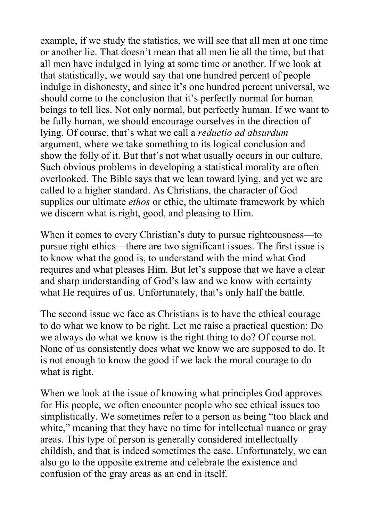example, if we study the statistics, we will see that all men at one time or another lie. That doesn't mean that all men lie all the time, but that all men have indulged in lying at some time or another. If we look at that statistically, we would say that one hundred percent of people indulge in dishonesty, and since it's one hundred percent universal, we should come to the conclusion that it's perfectly normal for human beings to tell lies. Not only normal, but perfectly human. If we want to be fully human, we should encourage ourselves in the direction of lying. Of course, that's what we call a *reductio ad absurdum* argument, where we take something to its logical conclusion and show the folly of it. But that's not what usually occurs in our culture. Such obvious problems in developing a statistical morality are often overlooked. The Bible says that we lean toward lying, and yet we are called to a higher standard. As Christians, the character of God supplies our ultimate *ethos* or ethic, the ultimate framework by which we discern what is right, good, and pleasing to Him.

When it comes to every Christian's duty to pursue righteousness—to pursue right ethics—there are two significant issues. The first issue is to know what the good is, to understand with the mind what God requires and what pleases Him. But let's suppose that we have a clear and sharp understanding of God's law and we know with certainty what He requires of us. Unfortunately, that's only half the battle.

The second issue we face as Christians is to have the ethical courage to do what we know to be right. Let me raise a practical question: Do we always do what we know is the right thing to do? Of course not. None of us consistently does what we know we are supposed to do. It is not enough to know the good if we lack the moral courage to do what is right.

When we look at the issue of knowing what principles God approves for His people, we often encounter people who see ethical issues too simplistically. We sometimes refer to a person as being "too black and white," meaning that they have no time for intellectual nuance or gray areas. This type of person is generally considered intellectually childish, and that is indeed sometimes the case. Unfortunately, we can also go to the opposite extreme and celebrate the existence and confusion of the gray areas as an end in itself.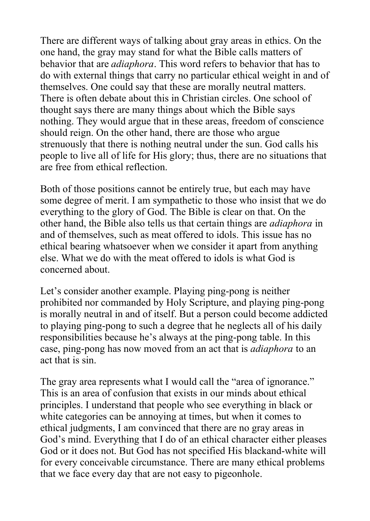There are different ways of talking about gray areas in ethics. On the one hand, the gray may stand for what the Bible calls matters of behavior that are *adiaphora*. This word refers to behavior that has to do with external things that carry no particular ethical weight in and of themselves. One could say that these are morally neutral matters. There is often debate about this in Christian circles. One school of thought says there are many things about which the Bible says nothing. They would argue that in these areas, freedom of conscience should reign. On the other hand, there are those who argue strenuously that there is nothing neutral under the sun. God calls his people to live all of life for His glory; thus, there are no situations that are free from ethical reflection.

Both of those positions cannot be entirely true, but each may have some degree of merit. I am sympathetic to those who insist that we do everything to the glory of God. The Bible is clear on that. On the other hand, the Bible also tells us that certain things are *adiaphora* in and of themselves, such as meat offered to idols. This issue has no ethical bearing whatsoever when we consider it apart from anything else. What we do with the meat offered to idols is what God is concerned about.

Let's consider another example. Playing ping-pong is neither prohibited nor commanded by Holy Scripture, and playing ping-pong is morally neutral in and of itself. But a person could become addicted to playing ping-pong to such a degree that he neglects all of his daily responsibilities because he's always at the ping-pong table. In this case, ping-pong has now moved from an act that is *adiaphora* to an act that is sin.

The gray area represents what I would call the "area of ignorance." This is an area of confusion that exists in our minds about ethical principles. I understand that people who see everything in black or white categories can be annoying at times, but when it comes to ethical judgments, I am convinced that there are no gray areas in God's mind. Everything that I do of an ethical character either pleases God or it does not. But God has not specified His blackand-white will for every conceivable circumstance. There are many ethical problems that we face every day that are not easy to pigeonhole.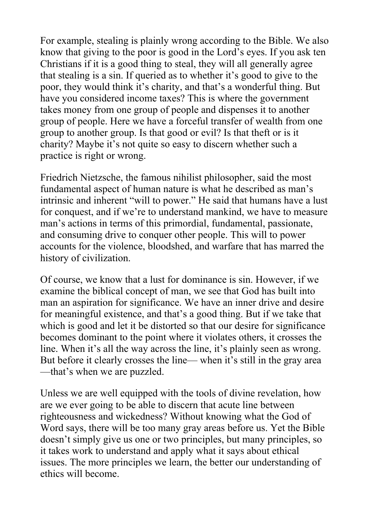For example, stealing is plainly wrong according to the Bible. We also know that giving to the poor is good in the Lord's eyes. If you ask ten Christians if it is a good thing to steal, they will all generally agree that stealing is a sin. If queried as to whether it's good to give to the poor, they would think it's charity, and that's a wonderful thing. But have you considered income taxes? This is where the government takes money from one group of people and dispenses it to another group of people. Here we have a forceful transfer of wealth from one group to another group. Is that good or evil? Is that theft or is it charity? Maybe it's not quite so easy to discern whether such a practice is right or wrong.

Friedrich Nietzsche, the famous nihilist philosopher, said the most fundamental aspect of human nature is what he described as man's intrinsic and inherent "will to power." He said that humans have a lust for conquest, and if we're to understand mankind, we have to measure man's actions in terms of this primordial, fundamental, passionate, and consuming drive to conquer other people. This will to power accounts for the violence, bloodshed, and warfare that has marred the history of civilization.

Of course, we know that a lust for dominance is sin. However, if we examine the biblical concept of man, we see that God has built into man an aspiration for significance. We have an inner drive and desire for meaningful existence, and that's a good thing. But if we take that which is good and let it be distorted so that our desire for significance becomes dominant to the point where it violates others, it crosses the line. When it's all the way across the line, it's plainly seen as wrong. But before it clearly crosses the line— when it's still in the gray area —that's when we are puzzled.

<span id="page-24-0"></span>Unless we are well equipped with the tools of divine revelation, how are we ever going to be able to discern that acute line between righteousness and wickedness? Without knowing what the God of Word says, there will be too many gray areas before us. Yet the Bible doesn't simply give us one or two principles, but many principles, so it takes work to understand and apply what it says about ethical issues. The more principles we learn, the better our understanding of ethics will become.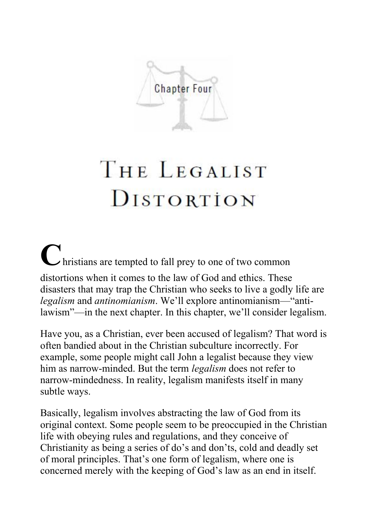

# THE LEGALIST DISTORTION

hristians are tempted to fall prey to one of two common distortions when it comes to the law of God and ethics. These disasters that may trap the Christian who seeks to live a godly life are *legalism* and *antinomianism*. We'll explore antinomianism—"antilawism"—in the next chapter. In this chapter, we'll consider legalism.

Have you, as a Christian, ever been accused of legalism? That word is often bandied about in the Christian subculture incorrectly. For example, some people might call John a legalist because they view him as narrow-minded. But the term *legalism* does not refer to narrow-mindedness. In reality, legalism manifests itself in many subtle ways.

Basically, legalism involves abstracting the law of God from its original context. Some people seem to be preoccupied in the Christian life with obeying rules and regulations, and they conceive of Christianity as being a series of do's and don'ts, cold and deadly set of moral principles. That's one form of legalism, where one is concerned merely with the keeping of God's law as an end in itself.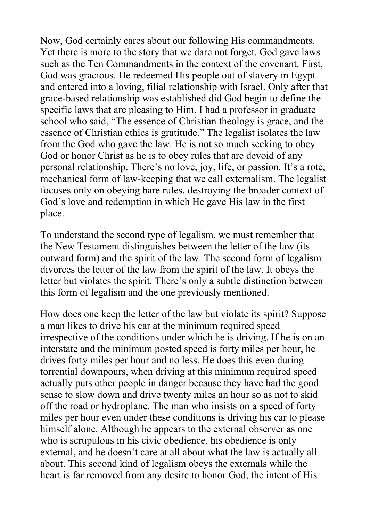Now, God certainly cares about our following His commandments. Yet there is more to the story that we dare not forget. God gave laws such as the Ten Commandments in the context of the covenant. First, God was gracious. He redeemed His people out of slavery in Egypt and entered into a loving, filial relationship with Israel. Only after that grace-based relationship was established did God begin to define the specific laws that are pleasing to Him. I had a professor in graduate school who said, "The essence of Christian theology is grace, and the essence of Christian ethics is gratitude." The legalist isolates the law from the God who gave the law. He is not so much seeking to obey God or honor Christ as he is to obey rules that are devoid of any personal relationship. There's no love, joy, life, or passion. It's a rote, mechanical form of law-keeping that we call externalism. The legalist focuses only on obeying bare rules, destroying the broader context of God's love and redemption in which He gave His law in the first place.

To understand the second type of legalism, we must remember that the New Testament distinguishes between the letter of the law (its outward form) and the spirit of the law. The second form of legalism divorces the letter of the law from the spirit of the law. It obeys the letter but violates the spirit. There's only a subtle distinction between this form of legalism and the one previously mentioned.

How does one keep the letter of the law but violate its spirit? Suppose a man likes to drive his car at the minimum required speed irrespective of the conditions under which he is driving. If he is on an interstate and the minimum posted speed is forty miles per hour, he drives forty miles per hour and no less. He does this even during torrential downpours, when driving at this minimum required speed actually puts other people in danger because they have had the good sense to slow down and drive twenty miles an hour so as not to skid off the road or hydroplane. The man who insists on a speed of forty miles per hour even under these conditions is driving his car to please himself alone. Although he appears to the external observer as one who is scrupulous in his civic obedience, his obedience is only external, and he doesn't care at all about what the law is actually all about. This second kind of legalism obeys the externals while the heart is far removed from any desire to honor God, the intent of His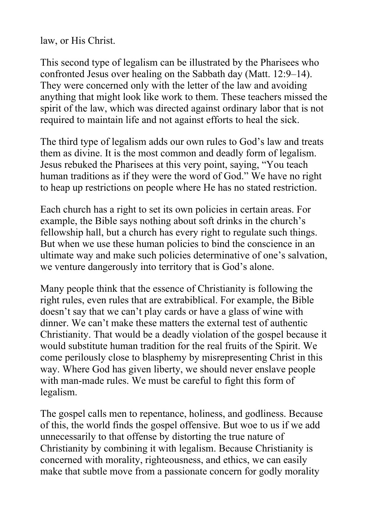law, or His Christ.

This second type of legalism can be illustrated by the Pharisees who confronted Jesus over healing on the Sabbath day (Matt. 12:9–14). They were concerned only with the letter of the law and avoiding anything that might look like work to them. These teachers missed the spirit of the law, which was directed against ordinary labor that is not required to maintain life and not against efforts to heal the sick.

The third type of legalism adds our own rules to God's law and treats them as divine. It is the most common and deadly form of legalism. Jesus rebuked the Pharisees at this very point, saying, "You teach human traditions as if they were the word of God." We have no right to heap up restrictions on people where He has no stated restriction.

Each church has a right to set its own policies in certain areas. For example, the Bible says nothing about soft drinks in the church's fellowship hall, but a church has every right to regulate such things. But when we use these human policies to bind the conscience in an ultimate way and make such policies determinative of one's salvation, we venture dangerously into territory that is God's alone.

Many people think that the essence of Christianity is following the right rules, even rules that are extrabiblical. For example, the Bible doesn't say that we can't play cards or have a glass of wine with dinner. We can't make these matters the external test of authentic Christianity. That would be a deadly violation of the gospel because it would substitute human tradition for the real fruits of the Spirit. We come perilously close to blasphemy by misrepresenting Christ in this way. Where God has given liberty, we should never enslave people with man-made rules. We must be careful to fight this form of legalism.

The gospel calls men to repentance, holiness, and godliness. Because of this, the world finds the gospel offensive. But woe to us if we add unnecessarily to that offense by distorting the true nature of Christianity by combining it with legalism. Because Christianity is concerned with morality, righteousness, and ethics, we can easily make that subtle move from a passionate concern for godly morality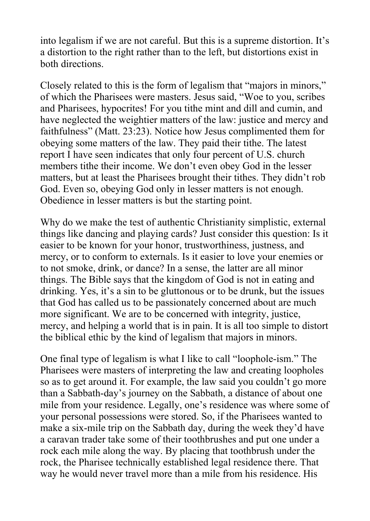into legalism if we are not careful. But this is a supreme distortion. It's a distortion to the right rather than to the left, but distortions exist in both directions.

Closely related to this is the form of legalism that "majors in minors," of which the Pharisees were masters. Jesus said, "Woe to you, scribes and Pharisees, hypocrites! For you tithe mint and dill and cumin, and have neglected the weightier matters of the law: justice and mercy and faithfulness" (Matt. 23:23). Notice how Jesus complimented them for obeying some matters of the law. They paid their tithe. The latest report I have seen indicates that only four percent of U.S. church members tithe their income. We don't even obey God in the lesser matters, but at least the Pharisees brought their tithes. They didn't rob God. Even so, obeying God only in lesser matters is not enough. Obedience in lesser matters is but the starting point.

Why do we make the test of authentic Christianity simplistic, external things like dancing and playing cards? Just consider this question: Is it easier to be known for your honor, trustworthiness, justness, and mercy, or to conform to externals. Is it easier to love your enemies or to not smoke, drink, or dance? In a sense, the latter are all minor things. The Bible says that the kingdom of God is not in eating and drinking. Yes, it's a sin to be gluttonous or to be drunk, but the issues that God has called us to be passionately concerned about are much more significant. We are to be concerned with integrity, justice, mercy, and helping a world that is in pain. It is all too simple to distort the biblical ethic by the kind of legalism that majors in minors.

One final type of legalism is what I like to call "loophole-ism." The Pharisees were masters of interpreting the law and creating loopholes so as to get around it. For example, the law said you couldn't go more than a Sabbath-day's journey on the Sabbath, a distance of about one mile from your residence. Legally, one's residence was where some of your personal possessions were stored. So, if the Pharisees wanted to make a six-mile trip on the Sabbath day, during the week they'd have a caravan trader take some of their toothbrushes and put one under a rock each mile along the way. By placing that toothbrush under the rock, the Pharisee technically established legal residence there. That way he would never travel more than a mile from his residence. His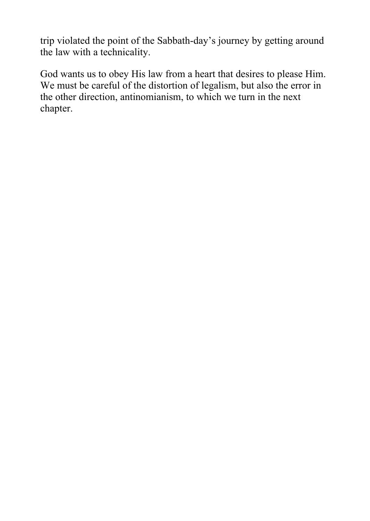trip violated the point of the Sabbath-day's journey by getting around the law with a technicality.

God wants us to obey His law from a heart that desires to please Him. We must be careful of the distortion of legalism, but also the error in the other direction, antinomianism, to which we turn in the next chapter.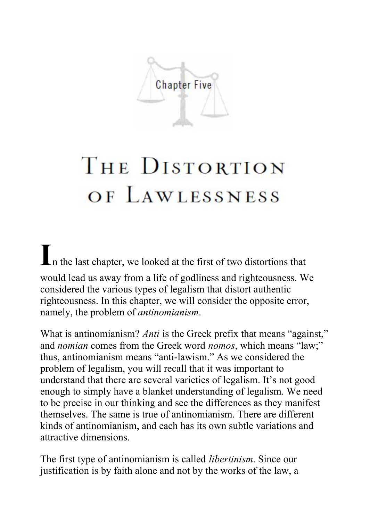<span id="page-30-0"></span>

## THE DISTORTION OF LAWLESSNESS

**I**n the last chapter, we looked at the first of two distortions that would lead us away from a life of godliness and righteousness. We considered the various types of legalism that distort authentic righteousness. In this chapter, we will consider the opposite error, namely, the problem of *antinomianism*.

What is antinomianism? *Anti* is the Greek prefix that means "against," and *nomian* comes from the Greek word *nomos*, which means "law;" thus, antinomianism means "anti-lawism." As we considered the problem of legalism, you will recall that it was important to understand that there are several varieties of legalism. It's not good enough to simply have a blanket understanding of legalism. We need to be precise in our thinking and see the differences as they manifest themselves. The same is true of antinomianism. There are different kinds of antinomianism, and each has its own subtle variations and attractive dimensions.

The first type of antinomianism is called *libertinism*. Since our justification is by faith alone and not by the works of the law, a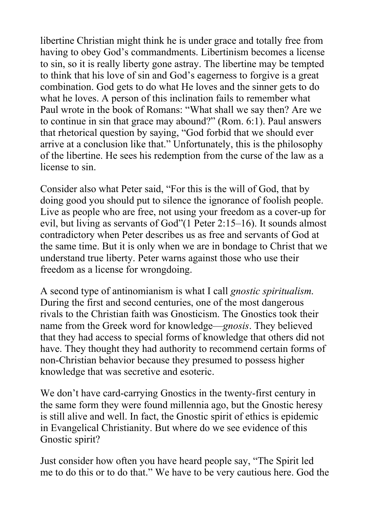libertine Christian might think he is under grace and totally free from having to obey God's commandments. Libertinism becomes a license to sin, so it is really liberty gone astray. The libertine may be tempted to think that his love of sin and God's eagerness to forgive is a great combination. God gets to do what He loves and the sinner gets to do what he loves. A person of this inclination fails to remember what Paul wrote in the book of Romans: "What shall we say then? Are we to continue in sin that grace may abound?" (Rom. 6:1). Paul answers that rhetorical question by saying, "God forbid that we should ever arrive at a conclusion like that." Unfortunately, this is the philosophy of the libertine. He sees his redemption from the curse of the law as a license to sin.

Consider also what Peter said, "For this is the will of God, that by doing good you should put to silence the ignorance of foolish people. Live as people who are free, not using your freedom as a cover-up for evil, but living as servants of God"(1 Peter 2:15–16). It sounds almost contradictory when Peter describes us as free and servants of God at the same time. But it is only when we are in bondage to Christ that we understand true liberty. Peter warns against those who use their freedom as a license for wrongdoing.

A second type of antinomianism is what I call *gnostic spiritualism*. During the first and second centuries, one of the most dangerous rivals to the Christian faith was Gnosticism. The Gnostics took their name from the Greek word for knowledge—*gnosis*. They believed that they had access to special forms of knowledge that others did not have. They thought they had authority to recommend certain forms of non-Christian behavior because they presumed to possess higher knowledge that was secretive and esoteric.

We don't have card-carrying Gnostics in the twenty-first century in the same form they were found millennia ago, but the Gnostic heresy is still alive and well. In fact, the Gnostic spirit of ethics is epidemic in Evangelical Christianity. But where do we see evidence of this Gnostic spirit?

Just consider how often you have heard people say, "The Spirit led me to do this or to do that." We have to be very cautious here. God the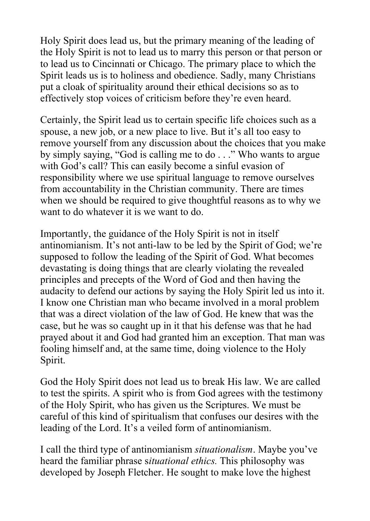Holy Spirit does lead us, but the primary meaning of the leading of the Holy Spirit is not to lead us to marry this person or that person or to lead us to Cincinnati or Chicago. The primary place to which the Spirit leads us is to holiness and obedience. Sadly, many Christians put a cloak of spirituality around their ethical decisions so as to effectively stop voices of criticism before they're even heard.

Certainly, the Spirit lead us to certain specific life choices such as a spouse, a new job, or a new place to live. But it's all too easy to remove yourself from any discussion about the choices that you make by simply saying, "God is calling me to do . . ." Who wants to argue with God's call? This can easily become a sinful evasion of responsibility where we use spiritual language to remove ourselves from accountability in the Christian community. There are times when we should be required to give thoughtful reasons as to why we want to do whatever it is we want to do.

Importantly, the guidance of the Holy Spirit is not in itself antinomianism. It's not anti-law to be led by the Spirit of God; we're supposed to follow the leading of the Spirit of God. What becomes devastating is doing things that are clearly violating the revealed principles and precepts of the Word of God and then having the audacity to defend our actions by saying the Holy Spirit led us into it. I know one Christian man who became involved in a moral problem that was a direct violation of the law of God. He knew that was the case, but he was so caught up in it that his defense was that he had prayed about it and God had granted him an exception. That man was fooling himself and, at the same time, doing violence to the Holy Spirit.

God the Holy Spirit does not lead us to break His law. We are called to test the spirits. A spirit who is from God agrees with the testimony of the Holy Spirit, who has given us the Scriptures. We must be careful of this kind of spiritualism that confuses our desires with the leading of the Lord. It's a veiled form of antinomianism.

I call the third type of antinomianism *situationalism*. Maybe you've heard the familiar phrase s*ituational ethics.* This philosophy was developed by Joseph Fletcher. He sought to make love the highest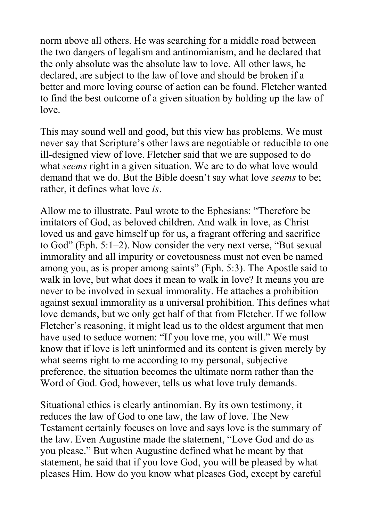norm above all others. He was searching for a middle road between the two dangers of legalism and antinomianism, and he declared that the only absolute was the absolute law to love. All other laws, he declared, are subject to the law of love and should be broken if a better and more loving course of action can be found. Fletcher wanted to find the best outcome of a given situation by holding up the law of love.

This may sound well and good, but this view has problems. We must never say that Scripture's other laws are negotiable or reducible to one ill-designed view of love. Fletcher said that we are supposed to do what *seems* right in a given situation. We are to do what love would demand that we do. But the Bible doesn't say what love *seems* to be; rather, it defines what love *is*.

Allow me to illustrate. Paul wrote to the Ephesians: "Therefore be imitators of God, as beloved children. And walk in love, as Christ loved us and gave himself up for us, a fragrant offering and sacrifice to God" (Eph. 5:1–2). Now consider the very next verse, "But sexual immorality and all impurity or covetousness must not even be named among you, as is proper among saints" (Eph. 5:3). The Apostle said to walk in love, but what does it mean to walk in love? It means you are never to be involved in sexual immorality. He attaches a prohibition against sexual immorality as a universal prohibition. This defines what love demands, but we only get half of that from Fletcher. If we follow Fletcher's reasoning, it might lead us to the oldest argument that men have used to seduce women: "If you love me, you will." We must know that if love is left uninformed and its content is given merely by what seems right to me according to my personal, subjective preference, the situation becomes the ultimate norm rather than the Word of God. God, however, tells us what love truly demands.

Situational ethics is clearly antinomian. By its own testimony, it reduces the law of God to one law, the law of love. The New Testament certainly focuses on love and says love is the summary of the law. Even Augustine made the statement, "Love God and do as you please." But when Augustine defined what he meant by that statement, he said that if you love God, you will be pleased by what pleases Him. How do you know what pleases God, except by careful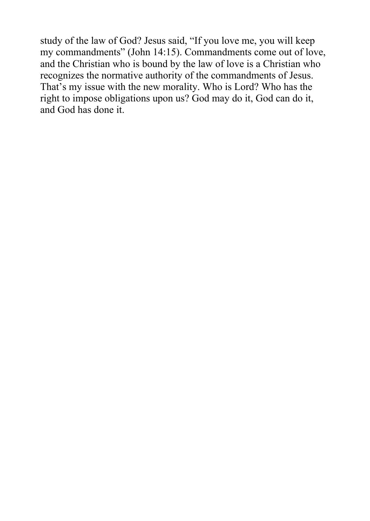<span id="page-34-0"></span>study of the law of God? Jesus said, "If you love me, you will keep my commandments" (John 14:15). Commandments come out of love, and the Christian who is bound by the law of love is a Christian who recognizes the normative authority of the commandments of Jesus. That's my issue with the new morality. Who is Lord? Who has the right to impose obligations upon us? God may do it, God can do it, and God has done it.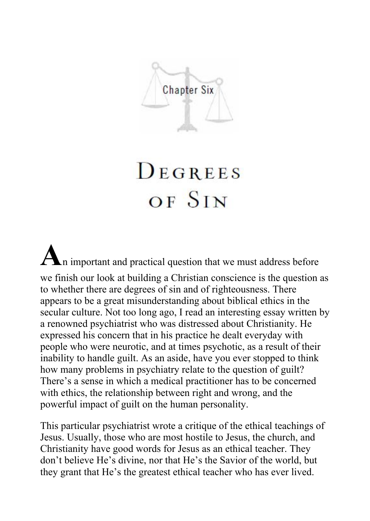

### DEGREES OF SIN

**A**<sup>n</sup> important and practical question that we must address before we finish our look at building a Christian conscience is the question as to whether there are degrees of sin and of righteousness. There appears to be a great misunderstanding about biblical ethics in the secular culture. Not too long ago, I read an interesting essay written by a renowned psychiatrist who was distressed about Christianity. He expressed his concern that in his practice he dealt everyday with people who were neurotic, and at times psychotic, as a result of their inability to handle guilt. As an aside, have you ever stopped to think how many problems in psychiatry relate to the question of guilt? There's a sense in which a medical practitioner has to be concerned with ethics, the relationship between right and wrong, and the powerful impact of guilt on the human personality.

This particular psychiatrist wrote a critique of the ethical teachings of Jesus. Usually, those who are most hostile to Jesus, the church, and Christianity have good words for Jesus as an ethical teacher. They don't believe He's divine, nor that He's the Savior of the world, but they grant that He's the greatest ethical teacher who has ever lived.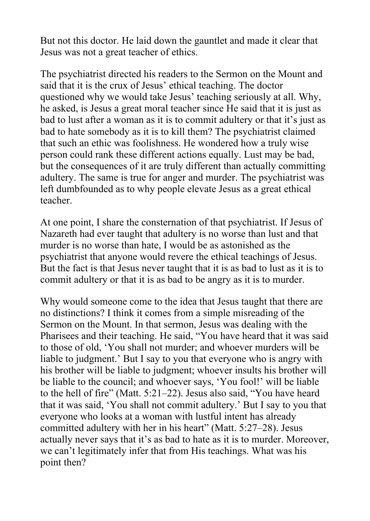But not this doctor. He laid down the gauntlet and made it clear that Jesus was not a great teacher of ethics.

The psychiatrist directed his readers to the Sermon on the Mount and said that it is the crux of Jesus' ethical teaching. The doctor questioned why we would take Jesus' teaching seriously at all. Why, he asked, is Jesus a great moral teacher since He said that it is just as bad to lust after a woman as it is to commit adultery or that it's just as bad to hate somebody as it is to kill them? The psychiatrist claimed that such an ethic was foolishness. He wondered how a truly wise person could rank these different actions equally. Lust may be bad, but the consequences of it are truly different than actually committing adultery. The same is true for anger and murder. The psychiatrist was left dumbfounded as to why people elevate Jesus as a great ethical teacher.

At one point, I share the consternation of that psychiatrist. If Jesus of Nazareth had ever taught that adultery is no worse than lust and that murder is no worse than hate, I would be as astonished as the psychiatrist that anyone would revere the ethical teachings of Jesus. But the fact is that Jesus never taught that it is as bad to lust as it is to commit adultery or that it is as bad to be angry as it is to murder.

Why would someone come to the idea that Jesus taught that there are no distinctions? I think it comes from a simple misreading of the Sermon on the Mount. In that sermon, Jesus was dealing with the Pharisees and their teaching. He said, "You have heard that it was said to those of old, 'You shall not murder; and whoever murders will be liable to judgment.' But I say to you that everyone who is angry with his brother will be liable to judgment; whoever insults his brother will be liable to the council; and whoever says, 'You fool!' will be liable to the hell of fire" (Matt. 5:21–22). Jesus also said, "You have heard that it was said, 'You shall not commit adultery.' But I say to you that everyone who looks at a woman with lustful intent has already committed adultery with her in his heart" (Matt. 5:27–28). Jesus actually never says that it's as bad to hate as it is to murder. Moreover, we can't legitimately infer that from His teachings. What was his point then?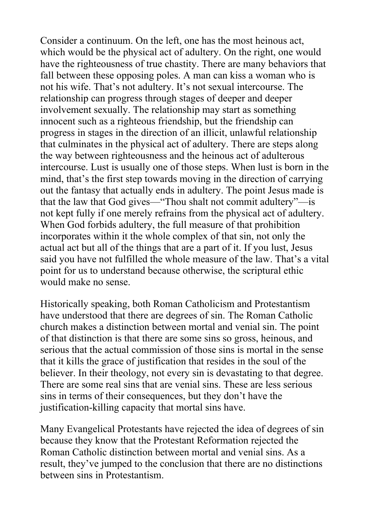Consider a continuum. On the left, one has the most heinous act, which would be the physical act of adultery. On the right, one would have the righteousness of true chastity. There are many behaviors that fall between these opposing poles. A man can kiss a woman who is not his wife. That's not adultery. It's not sexual intercourse. The relationship can progress through stages of deeper and deeper involvement sexually. The relationship may start as something innocent such as a righteous friendship, but the friendship can progress in stages in the direction of an illicit, unlawful relationship that culminates in the physical act of adultery. There are steps along the way between righteousness and the heinous act of adulterous intercourse. Lust is usually one of those steps. When lust is born in the mind, that's the first step towards moving in the direction of carrying out the fantasy that actually ends in adultery. The point Jesus made is that the law that God gives—"Thou shalt not commit adultery"—is not kept fully if one merely refrains from the physical act of adultery. When God forbids adultery, the full measure of that prohibition incorporates within it the whole complex of that sin, not only the actual act but all of the things that are a part of it. If you lust, Jesus said you have not fulfilled the whole measure of the law. That's a vital point for us to understand because otherwise, the scriptural ethic would make no sense.

Historically speaking, both Roman Catholicism and Protestantism have understood that there are degrees of sin. The Roman Catholic church makes a distinction between mortal and venial sin. The point of that distinction is that there are some sins so gross, heinous, and serious that the actual commission of those sins is mortal in the sense that it kills the grace of justification that resides in the soul of the believer. In their theology, not every sin is devastating to that degree. There are some real sins that are venial sins. These are less serious sins in terms of their consequences, but they don't have the justification-killing capacity that mortal sins have.

Many Evangelical Protestants have rejected the idea of degrees of sin because they know that the Protestant Reformation rejected the Roman Catholic distinction between mortal and venial sins. As a result, they've jumped to the conclusion that there are no distinctions between sins in Protestantism.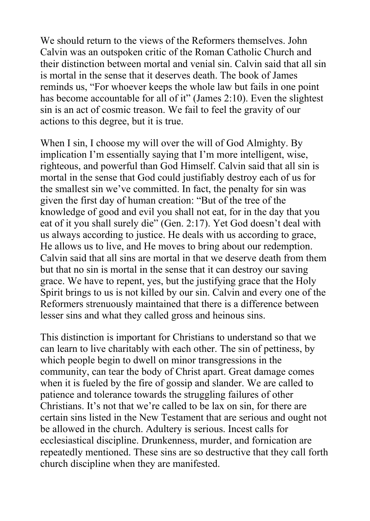We should return to the views of the Reformers themselves. John Calvin was an outspoken critic of the Roman Catholic Church and their distinction between mortal and venial sin. Calvin said that all sin is mortal in the sense that it deserves death. The book of James reminds us, "For whoever keeps the whole law but fails in one point has become accountable for all of it" (James 2:10). Even the slightest sin is an act of cosmic treason. We fail to feel the gravity of our actions to this degree, but it is true.

When I sin, I choose my will over the will of God Almighty. By implication I'm essentially saying that I'm more intelligent, wise, righteous, and powerful than God Himself. Calvin said that all sin is mortal in the sense that God could justifiably destroy each of us for the smallest sin we've committed. In fact, the penalty for sin was given the first day of human creation: "But of the tree of the knowledge of good and evil you shall not eat, for in the day that you eat of it you shall surely die" (Gen. 2:17). Yet God doesn't deal with us always according to justice. He deals with us according to grace, He allows us to live, and He moves to bring about our redemption. Calvin said that all sins are mortal in that we deserve death from them but that no sin is mortal in the sense that it can destroy our saving grace. We have to repent, yes, but the justifying grace that the Holy Spirit brings to us is not killed by our sin. Calvin and every one of the Reformers strenuously maintained that there is a difference between lesser sins and what they called gross and heinous sins.

This distinction is important for Christians to understand so that we can learn to live charitably with each other. The sin of pettiness, by which people begin to dwell on minor transgressions in the community, can tear the body of Christ apart. Great damage comes when it is fueled by the fire of gossip and slander. We are called to patience and tolerance towards the struggling failures of other Christians. It's not that we're called to be lax on sin, for there are certain sins listed in the New Testament that are serious and ought not be allowed in the church. Adultery is serious. Incest calls for ecclesiastical discipline. Drunkenness, murder, and fornication are repeatedly mentioned. These sins are so destructive that they call forth church discipline when they are manifested.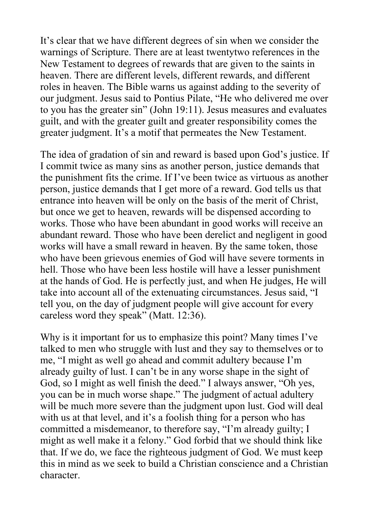It's clear that we have different degrees of sin when we consider the warnings of Scripture. There are at least twentytwo references in the New Testament to degrees of rewards that are given to the saints in heaven. There are different levels, different rewards, and different roles in heaven. The Bible warns us against adding to the severity of our judgment. Jesus said to Pontius Pilate, "He who delivered me over to you has the greater sin" (John 19:11). Jesus measures and evaluates guilt, and with the greater guilt and greater responsibility comes the greater judgment. It's a motif that permeates the New Testament.

The idea of gradation of sin and reward is based upon God's justice. If I commit twice as many sins as another person, justice demands that the punishment fits the crime. If I've been twice as virtuous as another person, justice demands that I get more of a reward. God tells us that entrance into heaven will be only on the basis of the merit of Christ, but once we get to heaven, rewards will be dispensed according to works. Those who have been abundant in good works will receive an abundant reward. Those who have been derelict and negligent in good works will have a small reward in heaven. By the same token, those who have been grievous enemies of God will have severe torments in hell. Those who have been less hostile will have a lesser punishment at the hands of God. He is perfectly just, and when He judges, He will take into account all of the extenuating circumstances. Jesus said, "I tell you, on the day of judgment people will give account for every careless word they speak" (Matt. 12:36).

Why is it important for us to emphasize this point? Many times I've talked to men who struggle with lust and they say to themselves or to me, "I might as well go ahead and commit adultery because I'm already guilty of lust. I can't be in any worse shape in the sight of God, so I might as well finish the deed." I always answer, "Oh yes, you can be in much worse shape." The judgment of actual adultery will be much more severe than the judgment upon lust. God will deal with us at that level, and it's a foolish thing for a person who has committed a misdemeanor, to therefore say, "I'm already guilty; I might as well make it a felony." God forbid that we should think like that. If we do, we face the righteous judgment of God. We must keep this in mind as we seek to build a Christian conscience and a Christian character.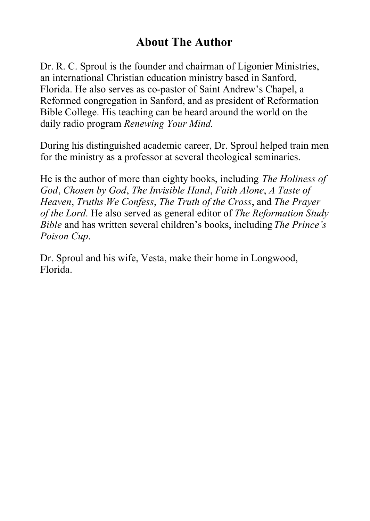#### **About The Author**

Dr. R. C. Sproul is the founder and chairman of Ligonier Ministries, an international Christian education ministry based in Sanford, Florida. He also serves as co-pastor of Saint Andrew's Chapel, a Reformed congregation in Sanford, and as president of Reformation Bible College. His teaching can be heard around the world on the daily radio program *Renewing Your Mind.*

During his distinguished academic career, Dr. Sproul helped train men for the ministry as a professor at several theological seminaries.

He is the author of more than eighty books, including *The Holiness of God*, *Chosen by God*, *The Invisible Hand*, *Faith Alone*, *A Taste of Heaven*, *Truths We Confess*, *The Truth of the Cross*, and *The Prayer of the Lord*. He also served as general editor of *The Reformation Study Bible* and has written several children's books, including *The Prince's Poison Cup*.

Dr. Sproul and his wife, Vesta, make their home in Longwood, Florida.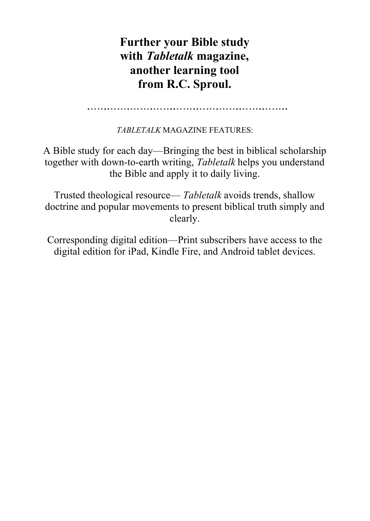**Further your Bible study with** *Tabletalk* **magazine, another learning tool from R.C. Sproul.**

*TABLETALK* MAGAZINE FEATURES:

A Bible study for each day—Bringing the best in biblical scholarship together with down-to-earth writing, *Tabletalk* helps you understand the Bible and apply it to daily living.

Trusted theological resource— *Tabletalk* avoids trends, shallow doctrine and popular movements to present biblical truth simply and clearly.

Corresponding digital edition—Print subscribers have access to the digital edition for iPad, Kindle Fire, and Android tablet devices.